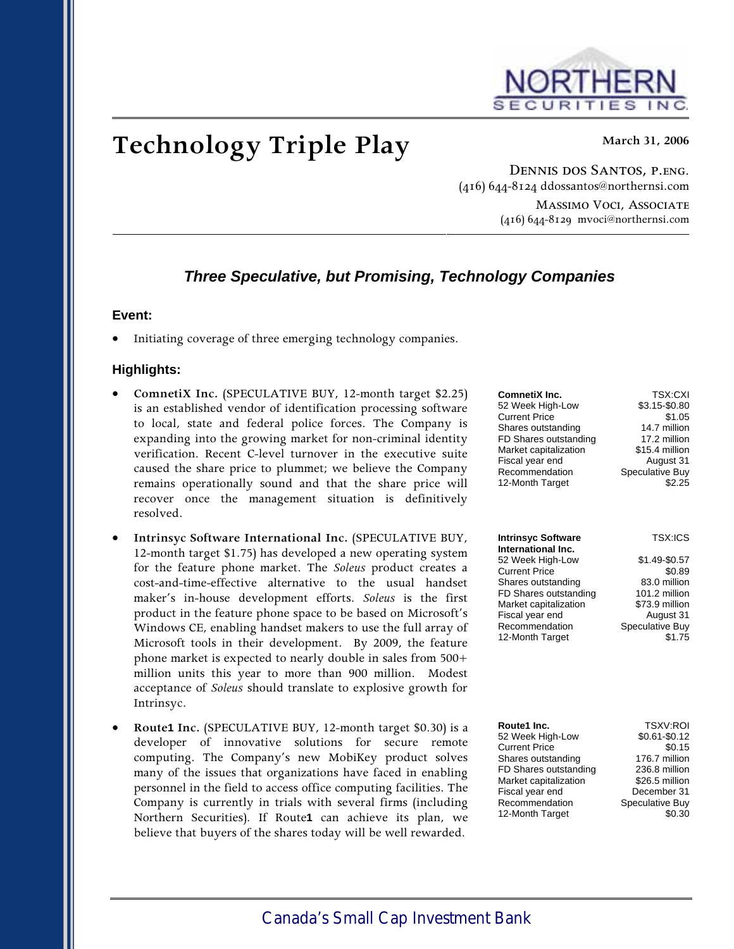

# Technology Triple Play March 31, 2006

Dennis dos Santos, p.eng. (416) 644-8124 ddossantos@northernsi.com Massimo Voci, Associate (416) 644-8129 mvoci@northernsi.com

# *Three Speculative, but Promising, Technology Companies*

# **Event:**

Initiating coverage of three emerging technology companies.

# **Highlights:**

- **ComnetiX Inc.** (SPECULATIVE BUY, 12-month target \$2.25) is an established vendor of identification processing software to local, state and federal police forces. The Company is expanding into the growing market for non-criminal identity verification. Recent C-level turnover in the executive suite caused the share price to plummet; we believe the Company remains operationally sound and that the share price will recover once the management situation is definitively resolved.
- **Intrinsyc Software International Inc.** (SPECULATIVE BUY, 12-month target \$1.75) has developed a new operating system for the feature phone market. The *Soleus* product creates a cost-and-time-effective alternative to the usual handset maker's in-house development efforts. *Soleus* is the first product in the feature phone space to be based on Microsoft's Windows CE, enabling handset makers to use the full array of Microsoft tools in their development. By 2009, the feature phone market is expected to nearly double in sales from 500+ million units this year to more than 900 million. Modest acceptance of *Soleus* should translate to explosive growth for Intrinsyc.
- **Route1 Inc.** (SPECULATIVE BUY, 12-month target \$0.30) is a developer of innovative solutions for secure remote computing. The Company's new MobiKey product solves many of the issues that organizations have faced in enabling personnel in the field to access office computing facilities. The Company is currently in trials with several firms (including Northern Securities). If Route**1** can achieve its plan, we believe that buyers of the shares today will be well rewarded.

| <b>ComnetiX Inc.</b>                                                                                                                                                                                                        | TSX:CXI                                                                                                                                |
|-----------------------------------------------------------------------------------------------------------------------------------------------------------------------------------------------------------------------------|----------------------------------------------------------------------------------------------------------------------------------------|
| 52 Week High-Low                                                                                                                                                                                                            | \$3.15-\$0.80                                                                                                                          |
| <b>Current Price</b>                                                                                                                                                                                                        | \$1.05                                                                                                                                 |
| Shares outstanding                                                                                                                                                                                                          | 14.7 million                                                                                                                           |
| FD Shares outstanding                                                                                                                                                                                                       | 17.2 million                                                                                                                           |
| Market capitalization                                                                                                                                                                                                       | \$15.4 million                                                                                                                         |
| Fiscal year end                                                                                                                                                                                                             | August 31                                                                                                                              |
| Recommendation                                                                                                                                                                                                              | Speculative Buy                                                                                                                        |
| 12-Month Target                                                                                                                                                                                                             | \$2.25                                                                                                                                 |
| <b>Intrinsyc Software</b><br>International Inc.<br>52 Week High-Low<br><b>Current Price</b><br>Shares outstanding<br>FD Shares outstanding<br>Market capitalization<br>Fiscal year end<br>Recommendation<br>12-Month Target | <b>TSX:ICS</b><br>\$1.49-\$0.57<br>\$0.89<br>83.0 million<br>101.2 million<br>\$73.9 million<br>August 31<br>Speculative Buy<br>\$1.75 |
| Route1 Inc.                                                                                                                                                                                                                 | <b>TSXV:ROI</b>                                                                                                                        |
| 52 Week High-Low                                                                                                                                                                                                            | \$0.61-\$0.12                                                                                                                          |
| <b>Current Price</b>                                                                                                                                                                                                        | \$0.15                                                                                                                                 |
| Shares outstanding                                                                                                                                                                                                          | 176.7 million                                                                                                                          |
| FD Shares outstanding                                                                                                                                                                                                       | 236.8 million                                                                                                                          |
| Market capitalization                                                                                                                                                                                                       | \$26.5 million                                                                                                                         |
| Fiscal year end                                                                                                                                                                                                             | December 31                                                                                                                            |
| Recommendation                                                                                                                                                                                                              | Speculative Buy                                                                                                                        |
| 12-Month Target                                                                                                                                                                                                             | \$0.30                                                                                                                                 |

*Canada's Small Cap Investment Bank*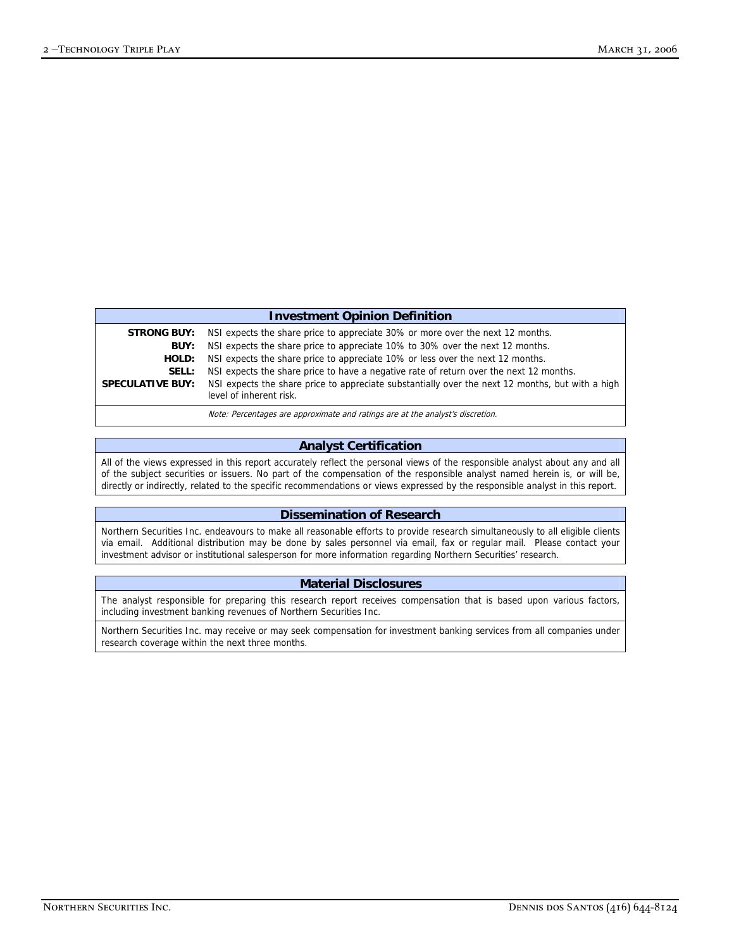#### **Investment Opinion Definition**

|                         | <b>STRONG BUY:</b> NSI expects the share price to appreciate 30% or more over the next 12 months.                           |
|-------------------------|-----------------------------------------------------------------------------------------------------------------------------|
| BUY:                    | NSI expects the share price to appreciate 10% to 30% over the next 12 months.                                               |
| HOLD:                   | NSI expects the share price to appreciate 10% or less over the next 12 months.                                              |
| SELL:                   | NSI expects the share price to have a negative rate of return over the next 12 months.                                      |
| <b>SPECULATIVE BUY:</b> | NSI expects the share price to appreciate substantially over the next 12 months, but with a high<br>level of inherent risk. |

Note: Percentages are approximate and ratings are at the analyst's discretion.

#### **Analyst Certification**

All of the views expressed in this report accurately reflect the personal views of the responsible analyst about any and all of the subject securities or issuers. No part of the compensation of the responsible analyst named herein is, or will be, directly or indirectly, related to the specific recommendations or views expressed by the responsible analyst in this report.

#### **Dissemination of Research**

Northern Securities Inc. endeavours to make all reasonable efforts to provide research simultaneously to all eligible clients via email. Additional distribution may be done by sales personnel via email, fax or regular mail. Please contact your investment advisor or institutional salesperson for more information regarding Northern Securities' research.

#### **Material Disclosures**

The analyst responsible for preparing this research report receives compensation that is based upon various factors, including investment banking revenues of Northern Securities Inc.

Northern Securities Inc. may receive or may seek compensation for investment banking services from all companies under research coverage within the next three months.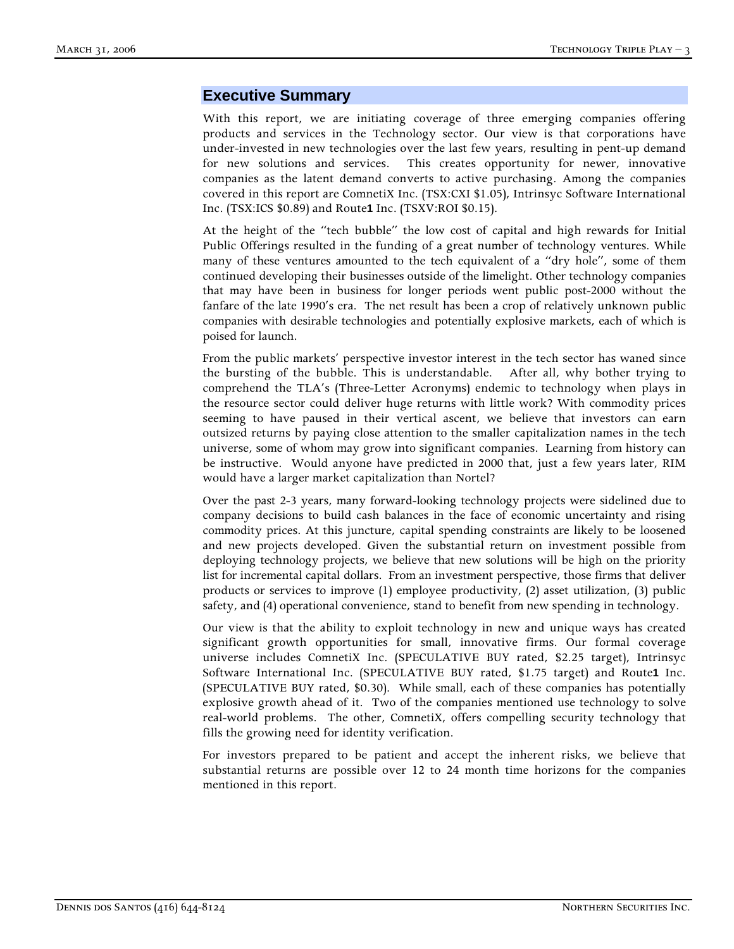# **Executive Summary**

With this report, we are initiating coverage of three emerging companies offering products and services in the Technology sector. Our view is that corporations have under-invested in new technologies over the last few years, resulting in pent-up demand for new solutions and services. This creates opportunity for newer, innovative companies as the latent demand converts to active purchasing. Among the companies covered in this report are ComnetiX Inc. (TSX:CXI \$1.05), Intrinsyc Software International Inc. (TSX:ICS \$0.89) and Route**1** Inc. (TSXV:ROI \$0.15).

At the height of the "tech bubble" the low cost of capital and high rewards for Initial Public Offerings resulted in the funding of a great number of technology ventures. While many of these ventures amounted to the tech equivalent of a "dry hole", some of them continued developing their businesses outside of the limelight. Other technology companies that may have been in business for longer periods went public post-2000 without the fanfare of the late 1990's era. The net result has been a crop of relatively unknown public companies with desirable technologies and potentially explosive markets, each of which is poised for launch.

From the public markets' perspective investor interest in the tech sector has waned since the bursting of the bubble. This is understandable. After all, why bother trying to comprehend the TLA's (Three-Letter Acronyms) endemic to technology when plays in the resource sector could deliver huge returns with little work? With commodity prices seeming to have paused in their vertical ascent, we believe that investors can earn outsized returns by paying close attention to the smaller capitalization names in the tech universe, some of whom may grow into significant companies. Learning from history can be instructive. Would anyone have predicted in 2000 that, just a few years later, RIM would have a larger market capitalization than Nortel?

Over the past 2-3 years, many forward-looking technology projects were sidelined due to company decisions to build cash balances in the face of economic uncertainty and rising commodity prices. At this juncture, capital spending constraints are likely to be loosened and new projects developed. Given the substantial return on investment possible from deploying technology projects, we believe that new solutions will be high on the priority list for incremental capital dollars. From an investment perspective, those firms that deliver products or services to improve (1) employee productivity, (2) asset utilization, (3) public safety, and (4) operational convenience, stand to benefit from new spending in technology.

Our view is that the ability to exploit technology in new and unique ways has created significant growth opportunities for small, innovative firms. Our formal coverage universe includes ComnetiX Inc. (SPECULATIVE BUY rated, \$2.25 target), Intrinsyc Software International Inc. (SPECULATIVE BUY rated, \$1.75 target) and Route**1** Inc. (SPECULATIVE BUY rated, \$0.30). While small, each of these companies has potentially explosive growth ahead of it. Two of the companies mentioned use technology to solve real-world problems. The other, ComnetiX, offers compelling security technology that fills the growing need for identity verification.

For investors prepared to be patient and accept the inherent risks, we believe that substantial returns are possible over 12 to 24 month time horizons for the companies mentioned in this report.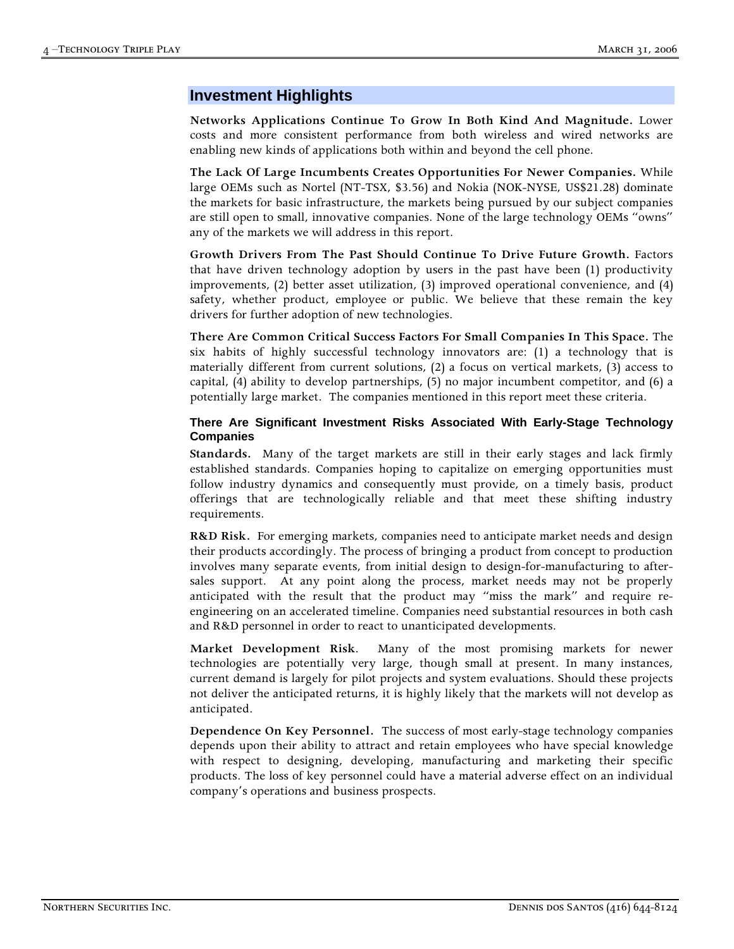# **Investment Highlights**

**Networks Applications Continue To Grow In Both Kind And Magnitude.** Lower costs and more consistent performance from both wireless and wired networks are enabling new kinds of applications both within and beyond the cell phone.

**The Lack Of Large Incumbents Creates Opportunities For Newer Companies.** While large OEMs such as Nortel (NT-TSX, \$3.56) and Nokia (NOK-NYSE, US\$21.28) dominate the markets for basic infrastructure, the markets being pursued by our subject companies are still open to small, innovative companies. None of the large technology OEMs "owns" any of the markets we will address in this report.

**Growth Drivers From The Past Should Continue To Drive Future Growth.** Factors that have driven technology adoption by users in the past have been (1) productivity improvements, (2) better asset utilization, (3) improved operational convenience, and (4) safety, whether product, employee or public. We believe that these remain the key drivers for further adoption of new technologies.

**There Are Common Critical Success Factors For Small Companies In This Space.** The six habits of highly successful technology innovators are: (1) a technology that is materially different from current solutions, (2) a focus on vertical markets, (3) access to capital, (4) ability to develop partnerships, (5) no major incumbent competitor, and (6) a potentially large market. The companies mentioned in this report meet these criteria.

#### **There Are Significant Investment Risks Associated With Early-Stage Technology Companies**

**Standards.** Many of the target markets are still in their early stages and lack firmly established standards. Companies hoping to capitalize on emerging opportunities must follow industry dynamics and consequently must provide, on a timely basis, product offerings that are technologically reliable and that meet these shifting industry requirements.

**R&D Risk.** For emerging markets, companies need to anticipate market needs and design their products accordingly. The process of bringing a product from concept to production involves many separate events, from initial design to design-for-manufacturing to aftersales support. At any point along the process, market needs may not be properly anticipated with the result that the product may "miss the mark" and require reengineering on an accelerated timeline. Companies need substantial resources in both cash and R&D personnel in order to react to unanticipated developments.

**Market Development Risk**. Many of the most promising markets for newer technologies are potentially very large, though small at present. In many instances, current demand is largely for pilot projects and system evaluations. Should these projects not deliver the anticipated returns, it is highly likely that the markets will not develop as anticipated.

**Dependence On Key Personnel.** The success of most early-stage technology companies depends upon their ability to attract and retain employees who have special knowledge with respect to designing, developing, manufacturing and marketing their specific products. The loss of key personnel could have a material adverse effect on an individual company's operations and business prospects.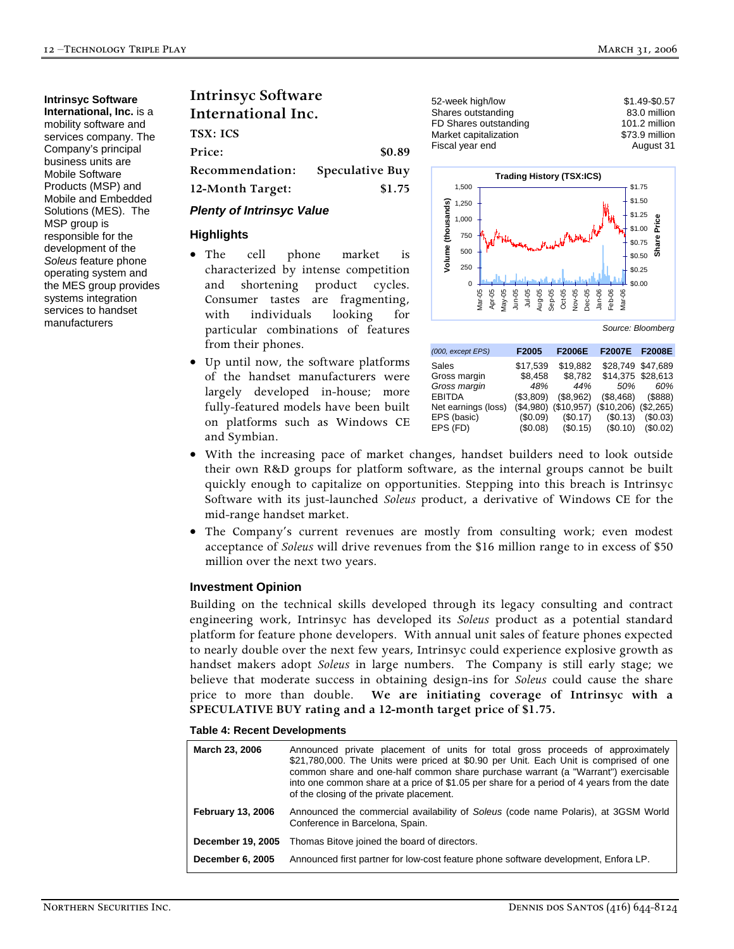# **Intrinsyc Software**

**International, Inc.** is a mobility software and services company. The Company's principal business units are Mobile Software Products (MSP) and Mobile and Embedded Solutions (MES). The MSP group is responsible for the development of the *Soleus* feature phone operating system and the MES group provides systems integration services to handset manufacturers

# **Intrinsyc Software International Inc.**

**TSX: ICS Price:** \$0.89 **Recommendation: Speculative Buy 12-Month Target: \$1.75**

#### *Plenty of Intrinsyc Value*

#### **Highlights**

- The cell phone market is characterized by intense competition and shortening product cycles. Consumer tastes are fragmenting, with individuals looking for particular combinations of features from their phones.
- Up until now, the software platforms of the handset manufacturers were largely developed in-house; more fully-featured models have been built on platforms such as Windows CE and Symbian.

| 52-week high/low      | \$1.49-\$0.57  |
|-----------------------|----------------|
| Shares outstanding    | 83.0 million   |
| FD Shares outstanding | 101.2 million  |
| Market capitalization | \$73.9 million |
| Fiscal year end       | August 31      |
|                       |                |



| (000, except EPS)   | F2005       | <b>F2006E</b> | <b>F2007E</b>                   | <b>F2008E</b>     |
|---------------------|-------------|---------------|---------------------------------|-------------------|
| Sales               | \$17,539    | \$19,882      |                                 | \$28,749 \$47,689 |
| Gross margin        | \$8,458     | \$8.782       |                                 | \$14,375 \$28,613 |
| Gross margin        | 48%         | 44%           | 50%                             | 60%               |
| <b>EBITDA</b>       | (\$3,809)   | (\$8,962)     | (\$8,468)                       | $($ \$888)        |
| Net earnings (loss) | $(\$4,980)$ |               | (\$10,957) (\$10,206) (\$2,265) |                   |
| EPS (basic)         | (\$0.09)    | (\$0.17)      | (S0.13)                         | (\$0.03)          |
| EPS (FD)            | (\$0.08)    | (\$0.15)      | (S0.10)                         | (\$0.02)          |

- With the increasing pace of market changes, handset builders need to look outside their own R&D groups for platform software, as the internal groups cannot be built quickly enough to capitalize on opportunities. Stepping into this breach is Intrinsyc Software with its just-launched *Soleus* product, a derivative of Windows CE for the mid-range handset market.
- The Company's current revenues are mostly from consulting work; even modest acceptance of *Soleus* will drive revenues from the \$16 million range to in excess of \$50 million over the next two years.

# **Investment Opinion**

Building on the technical skills developed through its legacy consulting and contract engineering work, Intrinsyc has developed its *Soleus* product as a potential standard platform for feature phone developers. With annual unit sales of feature phones expected to nearly double over the next few years, Intrinsyc could experience explosive growth as handset makers adopt *Soleus* in large numbers. The Company is still early stage; we believe that moderate success in obtaining design-ins for *Soleus* could cause the share price to more than double. **We are initiating coverage of Intrinsyc with a SPECULATIVE BUY rating and a 12-month target price of \$1.75.**

#### **Table 4: Recent Developments**

| March 23, 2006           | Announced private placement of units for total gross proceeds of approximately<br>\$21,780,000. The Units were priced at \$0.90 per Unit. Each Unit is comprised of one<br>common share and one-half common share purchase warrant (a "Warrant") exercisable<br>into one common share at a price of \$1.05 per share for a period of 4 years from the date<br>of the closing of the private placement. |
|--------------------------|--------------------------------------------------------------------------------------------------------------------------------------------------------------------------------------------------------------------------------------------------------------------------------------------------------------------------------------------------------------------------------------------------------|
| <b>February 13, 2006</b> | Announced the commercial availability of Soleus (code name Polaris), at 3GSM World<br>Conference in Barcelona, Spain.                                                                                                                                                                                                                                                                                  |
| December 19, 2005        | Thomas Bitove joined the board of directors.                                                                                                                                                                                                                                                                                                                                                           |
| December 6, 2005         | Announced first partner for low-cost feature phone software development, Enfora LP.                                                                                                                                                                                                                                                                                                                    |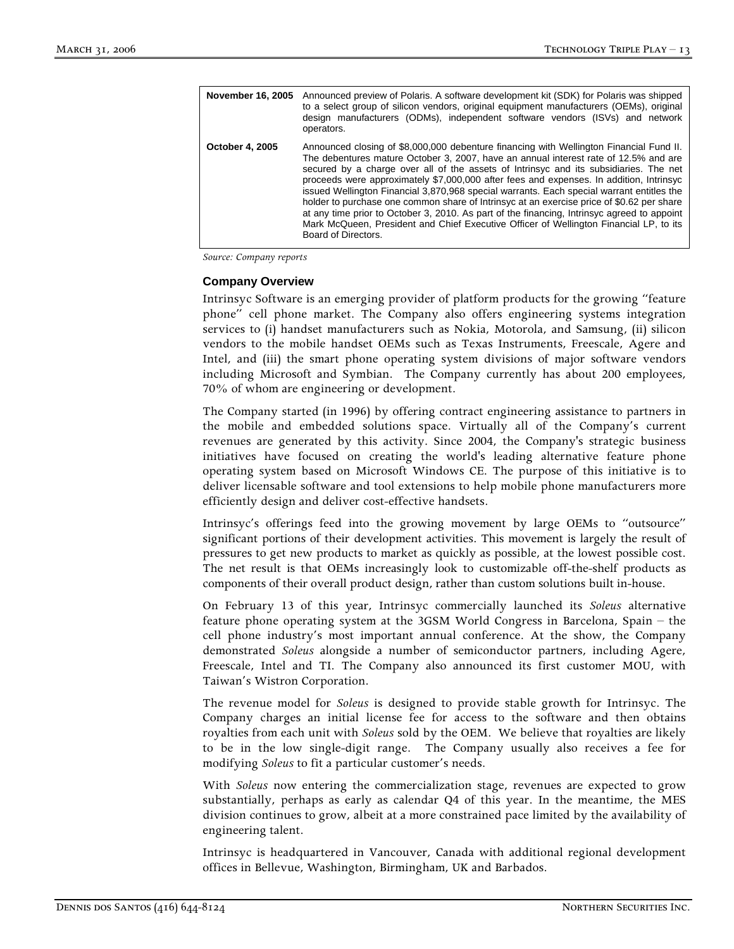| November 16, 2005      | Announced preview of Polaris. A software development kit (SDK) for Polaris was shipped<br>to a select group of silicon vendors, original equipment manufacturers (OEMs), original<br>design manufacturers (ODMs), independent software vendors (ISVs) and network<br>operators.                                                                                                                                                                                                                                                                                                                                                                                                                                                                                               |
|------------------------|-------------------------------------------------------------------------------------------------------------------------------------------------------------------------------------------------------------------------------------------------------------------------------------------------------------------------------------------------------------------------------------------------------------------------------------------------------------------------------------------------------------------------------------------------------------------------------------------------------------------------------------------------------------------------------------------------------------------------------------------------------------------------------|
| <b>October 4, 2005</b> | Announced closing of \$8,000,000 debenture financing with Wellington Financial Fund II.<br>The debentures mature October 3, 2007, have an annual interest rate of 12.5% and are<br>secured by a charge over all of the assets of Intrinsyc and its subsidiaries. The net<br>proceeds were approximately \$7,000,000 after fees and expenses. In addition, Intrinsyc<br>issued Wellington Financial 3,870,968 special warrants. Each special warrant entitles the<br>holder to purchase one common share of Intrinsyc at an exercise price of \$0.62 per share<br>at any time prior to October 3, 2010. As part of the financing, Intrinsyc agreed to appoint<br>Mark McQueen, President and Chief Executive Officer of Wellington Financial LP, to its<br>Board of Directors. |

*Source: Company reports*

#### **Company Overview**

Intrinsyc Software is an emerging provider of platform products for the growing "feature phone" cell phone market. The Company also offers engineering systems integration services to (i) handset manufacturers such as Nokia, Motorola, and Samsung, (ii) silicon vendors to the mobile handset OEMs such as Texas Instruments, Freescale, Agere and Intel, and (iii) the smart phone operating system divisions of major software vendors including Microsoft and Symbian. The Company currently has about 200 employees, 70% of whom are engineering or development.

The Company started (in 1996) by offering contract engineering assistance to partners in the mobile and embedded solutions space. Virtually all of the Company's current revenues are generated by this activity. Since 2004, the Company's strategic business initiatives have focused on creating the world's leading alternative feature phone operating system based on Microsoft Windows CE. The purpose of this initiative is to deliver licensable software and tool extensions to help mobile phone manufacturers more efficiently design and deliver cost-effective handsets.

Intrinsyc's offerings feed into the growing movement by large OEMs to "outsource" significant portions of their development activities. This movement is largely the result of pressures to get new products to market as quickly as possible, at the lowest possible cost. The net result is that OEMs increasingly look to customizable off-the-shelf products as components of their overall product design, rather than custom solutions built in-house.

On February 13 of this year, Intrinsyc commercially launched its *Soleus* alternative feature phone operating system at the 3GSM World Congress in Barcelona, Spain – the cell phone industry's most important annual conference. At the show, the Company demonstrated *Soleus* alongside a number of semiconductor partners, including Agere, Freescale, Intel and TI. The Company also announced its first customer MOU, with Taiwan's Wistron Corporation.

The revenue model for *Soleus* is designed to provide stable growth for Intrinsyc. The Company charges an initial license fee for access to the software and then obtains royalties from each unit with *Soleus* sold by the OEM. We believe that royalties are likely to be in the low single-digit range. The Company usually also receives a fee for modifying *Soleus* to fit a particular customer's needs.

With *Soleus* now entering the commercialization stage, revenues are expected to grow substantially, perhaps as early as calendar Q4 of this year. In the meantime, the MES division continues to grow, albeit at a more constrained pace limited by the availability of engineering talent.

Intrinsyc is headquartered in Vancouver, Canada with additional regional development offices in Bellevue, Washington, Birmingham, UK and Barbados.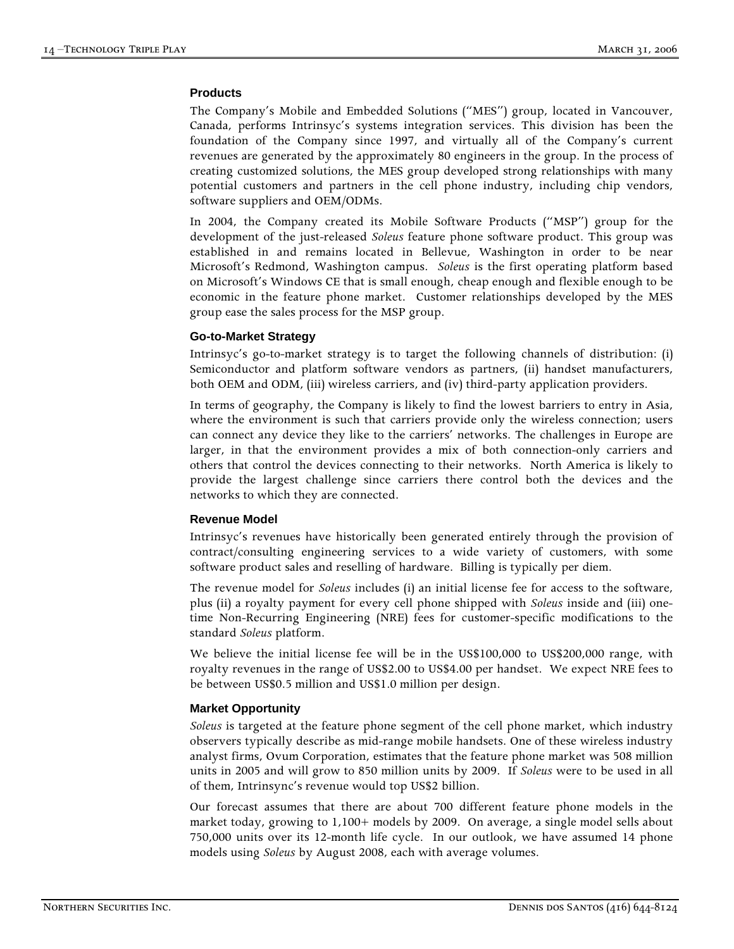## **Products**

The Company's Mobile and Embedded Solutions ("MES") group, located in Vancouver, Canada, performs Intrinsyc's systems integration services. This division has been the foundation of the Company since 1997, and virtually all of the Company's current revenues are generated by the approximately 80 engineers in the group. In the process of creating customized solutions, the MES group developed strong relationships with many potential customers and partners in the cell phone industry, including chip vendors, software suppliers and OEM/ODMs.

In 2004, the Company created its Mobile Software Products ("MSP") group for the development of the just-released *Soleus* feature phone software product. This group was established in and remains located in Bellevue, Washington in order to be near Microsoft's Redmond, Washington campus. *Soleus* is the first operating platform based on Microsoft's Windows CE that is small enough, cheap enough and flexible enough to be economic in the feature phone market. Customer relationships developed by the MES group ease the sales process for the MSP group.

## **Go-to-Market Strategy**

Intrinsyc's go-to-market strategy is to target the following channels of distribution: (i) Semiconductor and platform software vendors as partners, (ii) handset manufacturers, both OEM and ODM, (iii) wireless carriers, and (iv) third-party application providers.

In terms of geography, the Company is likely to find the lowest barriers to entry in Asia, where the environment is such that carriers provide only the wireless connection; users can connect any device they like to the carriers' networks. The challenges in Europe are larger, in that the environment provides a mix of both connection-only carriers and others that control the devices connecting to their networks. North America is likely to provide the largest challenge since carriers there control both the devices and the networks to which they are connected.

#### **Revenue Model**

Intrinsyc's revenues have historically been generated entirely through the provision of contract/consulting engineering services to a wide variety of customers, with some software product sales and reselling of hardware. Billing is typically per diem.

The revenue model for *Soleus* includes (i) an initial license fee for access to the software, plus (ii) a royalty payment for every cell phone shipped with *Soleus* inside and (iii) onetime Non-Recurring Engineering (NRE) fees for customer-specific modifications to the standard *Soleus* platform.

We believe the initial license fee will be in the US\$100,000 to US\$200,000 range, with royalty revenues in the range of US\$2.00 to US\$4.00 per handset. We expect NRE fees to be between US\$0.5 million and US\$1.0 million per design.

#### **Market Opportunity**

*Soleus* is targeted at the feature phone segment of the cell phone market, which industry observers typically describe as mid-range mobile handsets. One of these wireless industry analyst firms, Ovum Corporation, estimates that the feature phone market was 508 million units in 2005 and will grow to 850 million units by 2009. If *Soleus* were to be used in all of them, Intrinsync's revenue would top US\$2 billion.

Our forecast assumes that there are about 700 different feature phone models in the market today, growing to 1,100+ models by 2009. On average, a single model sells about 750,000 units over its 12-month life cycle. In our outlook, we have assumed 14 phone models using *Soleus* by August 2008, each with average volumes.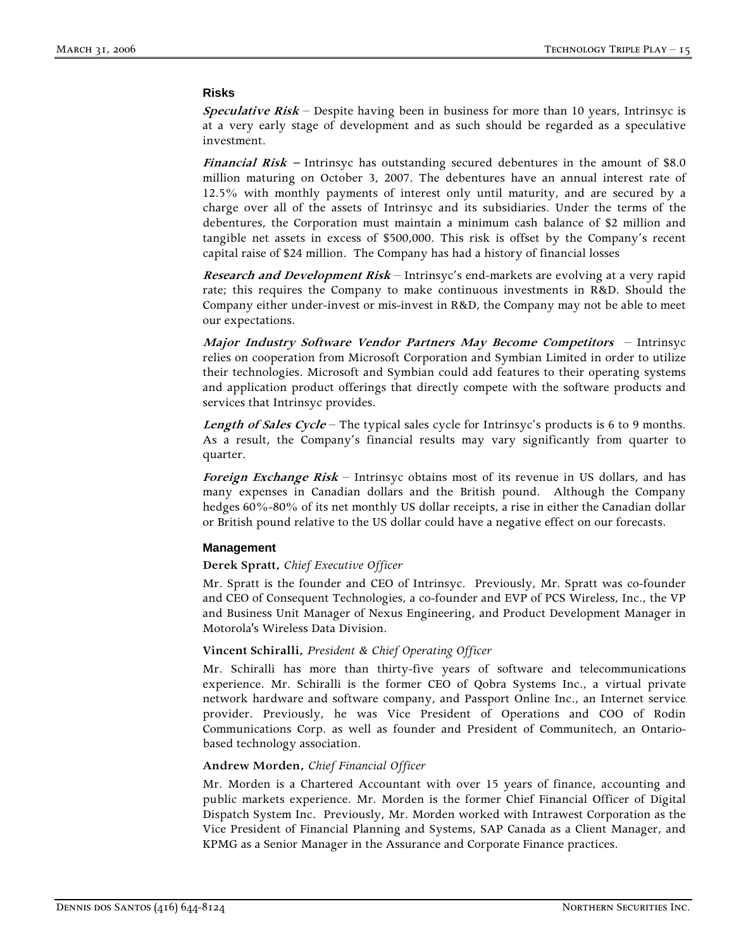#### **Risks**

**Speculative Risk** *–* Despite having been in business for more than 10 years, Intrinsyc is at a very early stage of development and as such should be regarded as a speculative investment.

**Financial Risk –** Intrinsyc has outstanding secured debentures in the amount of \$8.0 million maturing on October 3, 2007. The debentures have an annual interest rate of 12.5% with monthly payments of interest only until maturity, and are secured by a charge over all of the assets of Intrinsyc and its subsidiaries. Under the terms of the debentures, the Corporation must maintain a minimum cash balance of \$2 million and tangible net assets in excess of \$500,000. This risk is offset by the Company's recent capital raise of \$24 million. The Company has had a history of financial losses

**Research and Development Risk** *–* Intrinsyc's end-markets are evolving at a very rapid rate; this requires the Company to make continuous investments in R&D. Should the Company either under-invest or mis-invest in R&D, the Company may not be able to meet our expectations.

**Major Industry Software Vendor Partners May Become Competitors** – Intrinsyc relies on cooperation from Microsoft Corporation and Symbian Limited in order to utilize their technologies. Microsoft and Symbian could add features to their operating systems and application product offerings that directly compete with the software products and services that Intrinsyc provides.

**Length of Sales Cycle** – The typical sales cycle for Intrinsyc's products is 6 to 9 months. As a result, the Company's financial results may vary significantly from quarter to quarter.

**Foreign Exchange Risk** – Intrinsyc obtains most of its revenue in US dollars, and has many expenses in Canadian dollars and the British pound. Although the Company hedges 60%-80% of its net monthly US dollar receipts, a rise in either the Canadian dollar or British pound relative to the US dollar could have a negative effect on our forecasts.

#### **Management**

#### **Derek Spratt,** *Chief Executive Officer*

Mr. Spratt is the founder and CEO of Intrinsyc. Previously, Mr. Spratt was co-founder and CEO of Consequent Technologies, a co-founder and EVP of PCS Wireless, Inc., the VP and Business Unit Manager of Nexus Engineering, and Product Development Manager in Motorola's Wireless Data Division.

#### **Vincent Schiralli,** *President & Chief Operating Officer*

Mr. Schiralli has more than thirty-five years of software and telecommunications experience. Mr. Schiralli is the former CEO of Qobra Systems Inc., a virtual private network hardware and software company, and Passport Online Inc., an Internet service provider. Previously, he was Vice President of Operations and COO of Rodin Communications Corp. as well as founder and President of Communitech, an Ontariobased technology association.

#### **Andrew Morden,** *Chief Financial Officer*

Mr. Morden is a Chartered Accountant with over 15 years of finance, accounting and public markets experience. Mr. Morden is the former Chief Financial Officer of Digital Dispatch System Inc. Previously, Mr. Morden worked with Intrawest Corporation as the Vice President of Financial Planning and Systems, SAP Canada as a Client Manager, and KPMG as a Senior Manager in the Assurance and Corporate Finance practices.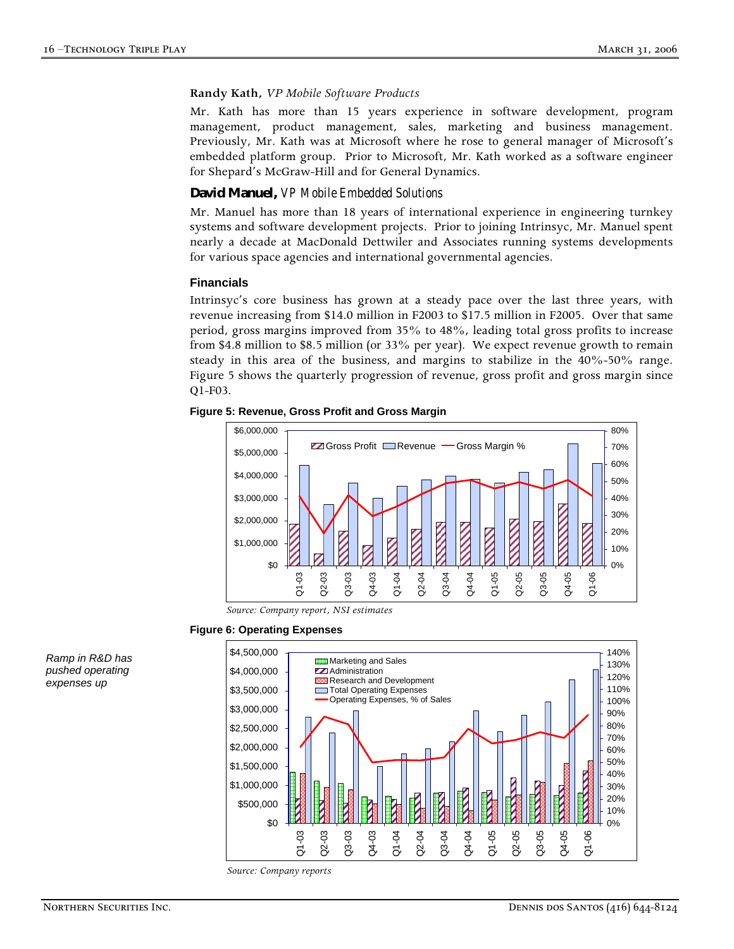#### **Randy Kath,** *VP Mobile Software Products*

Mr. Kath has more than 15 years experience in software development, program management, product management, sales, marketing and business management. Previously, Mr. Kath was at Microsoft where he rose to general manager of Microsoft's embedded platform group. Prior to Microsoft, Mr. Kath worked as a software engineer for Shepard's McGraw-Hill and for General Dynamics.

## **David Manuel,** *VP Mobile Embedded Solutions*

Mr. Manuel has more than 18 years of international experience in engineering turnkey systems and software development projects. Prior to joining Intrinsyc, Mr. Manuel spent nearly a decade at MacDonald Dettwiler and Associates running systems developments for various space agencies and international governmental agencies.

## **Financials**

Intrinsyc's core business has grown at a steady pace over the last three years, with revenue increasing from \$14.0 million in F2003 to \$17.5 million in F2005. Over that same period, gross margins improved from 35% to 48%, leading total gross profits to increase from \$4.8 million to \$8.5 million (or 33% per year). We expect revenue growth to remain steady in this area of the business, and margins to stabilize in the  $40\%$ -50% range. Figure 5 shows the quarterly progression of revenue, gross profit and gross margin since Q1-F03.





*Source: Company report, NSI estimates*



**Figure 6: Operating Expenses**

*Ramp in R&D has pushed operating expenses up*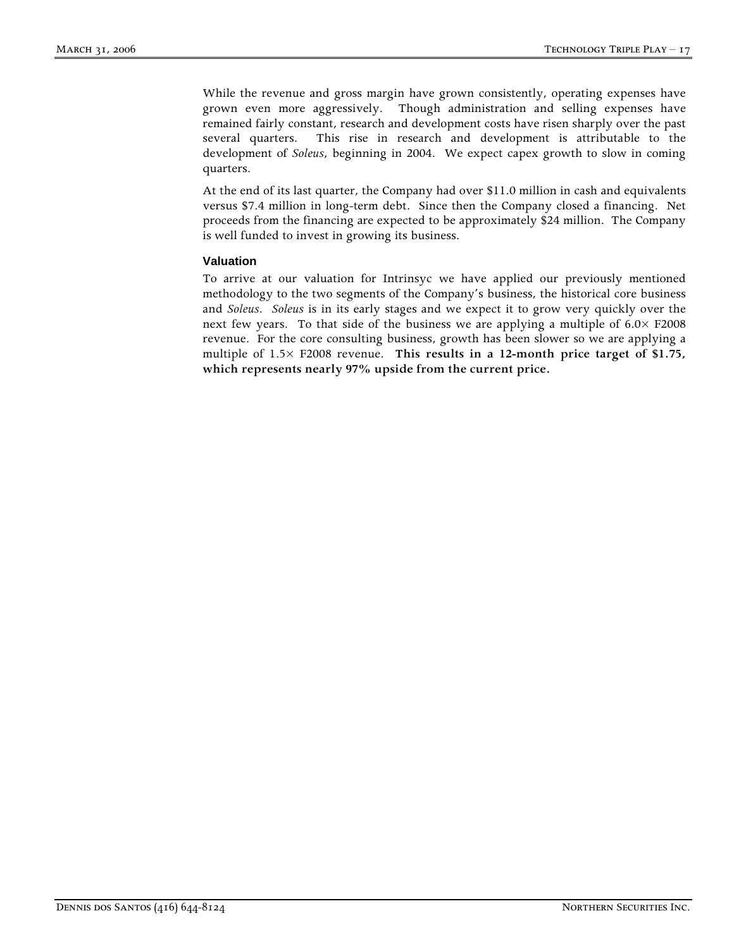While the revenue and gross margin have grown consistently, operating expenses have grown even more aggressively. Though administration and selling expenses have remained fairly constant, research and development costs have risen sharply over the past several quarters. This rise in research and development is attributable to the development of *Soleus*, beginning in 2004. We expect capex growth to slow in coming quarters.

At the end of its last quarter, the Company had over \$11.0 million in cash and equivalents versus \$7.4 million in long-term debt. Since then the Company closed a financing. Net proceeds from the financing are expected to be approximately \$24 million. The Company is well funded to invest in growing its business.

# **Valuation**

To arrive at our valuation for Intrinsyc we have applied our previously mentioned methodology to the two segments of the Company's business, the historical core business and *Soleus*. *Soleus* is in its early stages and we expect it to grow very quickly over the next few years. To that side of the business we are applying a multiple of 6.0× F2008 revenue. For the core consulting business, growth has been slower so we are applying a multiple of 1.5× F2008 revenue. **This results in a 12-month price target of \$1.75, which represents nearly 97% upside from the current price.**